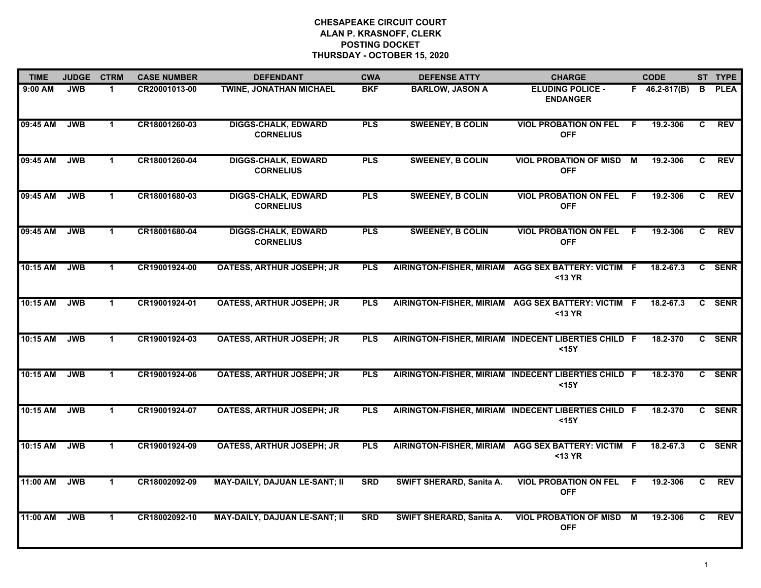| <b>TIME</b> | <b>JUDGE</b> | <b>CTRM</b>  | <b>CASE NUMBER</b> | <b>DEFENDANT</b>                               | <b>CWA</b> | <b>DEFENSE ATTY</b>      | <b>CHARGE</b>                                                 |     | <b>CODE</b>         |    | ST TYPE     |
|-------------|--------------|--------------|--------------------|------------------------------------------------|------------|--------------------------|---------------------------------------------------------------|-----|---------------------|----|-------------|
| 9:00 AM     | <b>JWB</b>   | 1.           | CR20001013-00      | <b>TWINE, JONATHAN MICHAEL</b>                 | <b>BKF</b> | <b>BARLOW, JASON A</b>   | <b>ELUDING POLICE -</b><br><b>ENDANGER</b>                    |     | $F = 46.2 - 817(B)$ | B. | <b>PLEA</b> |
| 09:45 AM    | <b>JWB</b>   | $\mathbf 1$  | CR18001260-03      | <b>DIGGS-CHALK, EDWARD</b><br><b>CORNELIUS</b> | <b>PLS</b> | <b>SWEENEY, B COLIN</b>  | <b>VIOL PROBATION ON FEL</b><br><b>OFF</b>                    | -F  | 19.2-306            | C  | <b>REV</b>  |
| 09:45 AM    | <b>JWB</b>   | $\mathbf{1}$ | CR18001260-04      | <b>DIGGS-CHALK, EDWARD</b><br><b>CORNELIUS</b> | <b>PLS</b> | <b>SWEENEY, B COLIN</b>  | <b>VIOL PROBATION OF MISD M</b><br><b>OFF</b>                 |     | 19.2-306            | C. | REV         |
| 09:45 AM    | <b>JWB</b>   | $\mathbf 1$  | CR18001680-03      | <b>DIGGS-CHALK, EDWARD</b><br><b>CORNELIUS</b> | <b>PLS</b> | <b>SWEENEY, B COLIN</b>  | <b>VIOL PROBATION ON FEL</b><br><b>OFF</b>                    | - F | 19.2-306            | C. | <b>REV</b>  |
| 09:45 AM    | <b>JWB</b>   | $\mathbf{1}$ | CR18001680-04      | <b>DIGGS-CHALK, EDWARD</b><br><b>CORNELIUS</b> | <b>PLS</b> | <b>SWEENEY, B COLIN</b>  | <b>VIOL PROBATION ON FEL</b><br><b>OFF</b>                    | - F | 19.2-306            | C. | <b>REV</b>  |
| 10:15 AM    | <b>JWB</b>   | $\mathbf 1$  | CR19001924-00      | <b>OATESS, ARTHUR JOSEPH; JR</b>               | <b>PLS</b> |                          | AIRINGTON-FISHER, MIRIAM AGG SEX BATTERY: VICTIM F<br><13 YR  |     | 18.2-67.3           | C. | <b>SENR</b> |
| 10:15 AM    | <b>JWB</b>   | $\mathbf 1$  | CR19001924-01      | <b>OATESS, ARTHUR JOSEPH; JR</b>               | <b>PLS</b> |                          | AIRINGTON-FISHER, MIRIAM AGG SEX BATTERY: VICTIM F<br><13 YR  |     | 18.2-67.3           | C  | <b>SENR</b> |
| 10:15 AM    | <b>JWB</b>   | $\mathbf{1}$ | CR19001924-03      | <b>OATESS, ARTHUR JOSEPH; JR</b>               | <b>PLS</b> |                          | AIRINGTON-FISHER, MIRIAM INDECENT LIBERTIES CHILD F<br>$15Y$  |     | 18.2-370            |    | C SENR      |
| 10:15 AM    | <b>JWB</b>   | $\mathbf{1}$ | CR19001924-06      | <b>OATESS, ARTHUR JOSEPH; JR</b>               | <b>PLS</b> |                          | AIRINGTON-FISHER, MIRIAM INDECENT LIBERTIES CHILD F<br>$15Y$  |     | 18.2-370            |    | C SENR      |
| 10:15 AM    | <b>JWB</b>   | $\mathbf{1}$ | CR19001924-07      | <b>OATESS, ARTHUR JOSEPH; JR</b>               | <b>PLS</b> |                          | AIRINGTON-FISHER, MIRIAM INDECENT LIBERTIES CHILD F<br>$15Y$  |     | 18.2-370            |    | C SENR      |
| 10:15 AM    | <b>JWB</b>   | $\mathbf 1$  | CR19001924-09      | <b>OATESS, ARTHUR JOSEPH; JR</b>               | <b>PLS</b> |                          | AIRINGTON-FISHER, MIRIAM AGG SEX BATTERY: VICTIM F<br>$13 YR$ |     | 18.2-67.3           | C. | <b>SENR</b> |
| 11:00 AM    | <b>JWB</b>   | $\mathbf 1$  | CR18002092-09      | <b>MAY-DAILY, DAJUAN LE-SANT; II</b>           | <b>SRD</b> | SWIFT SHERARD, Sanita A. | <b>VIOL PROBATION ON FEL</b><br><b>OFF</b>                    | F   | 19.2-306            | C  | <b>REV</b>  |
| 11:00 AM    | <b>JWB</b>   | $\mathbf{1}$ | CR18002092-10      | <b>MAY-DAILY, DAJUAN LE-SANT; II</b>           | <b>SRD</b> | SWIFT SHERARD, Sanita A. | <b>VIOL PROBATION OF MISD M</b><br><b>OFF</b>                 |     | 19.2-306            | C  | <b>REV</b>  |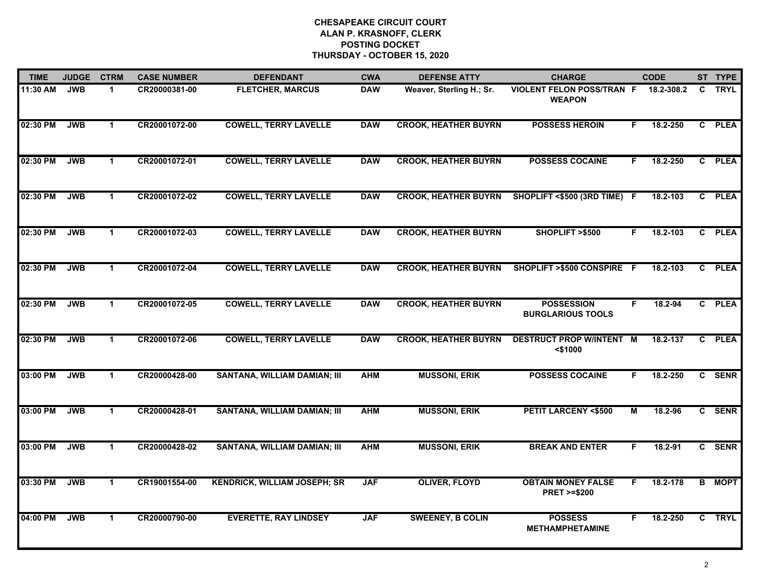| <b>TIME</b> | <b>JUDGE</b> | <b>CTRM</b>          | <b>CASE NUMBER</b> | <b>DEFENDANT</b>                    | <b>CWA</b> | <b>DEFENSE ATTY</b>         | <b>CHARGE</b>                                       |    | <b>CODE</b> |    | ST TYPE     |
|-------------|--------------|----------------------|--------------------|-------------------------------------|------------|-----------------------------|-----------------------------------------------------|----|-------------|----|-------------|
| 11:30 AM    | <b>JWB</b>   | 1                    | CR20000381-00      | <b>FLETCHER, MARCUS</b>             | <b>DAW</b> | Weaver, Sterling H.; Sr.    | <b>VIOLENT FELON POSS/TRAN F</b><br><b>WEAPON</b>   |    | 18.2-308.2  | C. | <b>TRYL</b> |
| 02:30 PM    | <b>JWB</b>   | $\mathbf 1$          | CR20001072-00      | <b>COWELL, TERRY LAVELLE</b>        | <b>DAW</b> | <b>CROOK, HEATHER BUYRN</b> | <b>POSSESS HEROIN</b>                               | F. | 18.2-250    |    | C PLEA      |
| 02:30 PM    | <b>JWB</b>   | $\mathbf 1$          | CR20001072-01      | <b>COWELL, TERRY LAVELLE</b>        | <b>DAW</b> | <b>CROOK, HEATHER BUYRN</b> | <b>POSSESS COCAINE</b>                              | F. | 18.2-250    |    | C PLEA      |
| 02:30 PM    | <b>JWB</b>   | 1                    | CR20001072-02      | <b>COWELL, TERRY LAVELLE</b>        | <b>DAW</b> | <b>CROOK, HEATHER BUYRN</b> | SHOPLIFT <\$500 (3RD TIME)                          | -F | 18.2-103    |    | C PLEA      |
| 02:30 PM    | <b>JWB</b>   | $\mathbf 1$          | CR20001072-03      | <b>COWELL, TERRY LAVELLE</b>        | <b>DAW</b> | <b>CROOK, HEATHER BUYRN</b> | SHOPLIFT >\$500                                     | F. | 18.2-103    |    | C PLEA      |
| 02:30 PM    | <b>JWB</b>   | $\mathbf{1}$         | CR20001072-04      | <b>COWELL, TERRY LAVELLE</b>        | <b>DAW</b> | <b>CROOK, HEATHER BUYRN</b> | SHOPLIFT >\$500 CONSPIRE F                          |    | 18.2-103    |    | C PLEA      |
| 02:30 PM    | <b>JWB</b>   | $\blacktriangleleft$ | CR20001072-05      | <b>COWELL, TERRY LAVELLE</b>        | <b>DAW</b> | <b>CROOK, HEATHER BUYRN</b> | <b>POSSESSION</b><br><b>BURGLARIOUS TOOLS</b>       | F  | 18.2-94     |    | C PLEA      |
| 02:30 PM    | <b>JWB</b>   | $\mathbf 1$          | CR20001072-06      | <b>COWELL, TERRY LAVELLE</b>        | <b>DAW</b> | <b>CROOK, HEATHER BUYRN</b> | <b>DESTRUCT PROP W/INTENT</b><br>$<$ \$1000         | M  | 18.2-137    |    | C PLEA      |
| 03:00 PM    | <b>JWB</b>   | $\mathbf 1$          | CR20000428-00      | SANTANA, WILLIAM DAMIAN; III        | <b>AHM</b> | <b>MUSSONI, ERIK</b>        | <b>POSSESS COCAINE</b>                              | F. | 18.2-250    |    | C SENR      |
| 03:00 PM    | <b>JWB</b>   | 1                    | CR20000428-01      | <b>SANTANA, WILLIAM DAMIAN; III</b> | <b>AHM</b> | <b>MUSSONI, ERIK</b>        | <b>PETIT LARCENY &lt;\$500</b>                      | M  | 18.2-96     |    | C SENR      |
| 03:00 PM    | <b>JWB</b>   | $\mathbf 1$          | CR20000428-02      | <b>SANTANA, WILLIAM DAMIAN; III</b> | <b>AHM</b> | <b>MUSSONI, ERIK</b>        | <b>BREAK AND ENTER</b>                              | F. | 18.2-91     |    | C SENR      |
| 03:30 PM    | <b>JWB</b>   | $\mathbf{1}$         | CR19001554-00      | <b>KENDRICK, WILLIAM JOSEPH; SR</b> | <b>JAF</b> | <b>OLIVER, FLOYD</b>        | <b>OBTAIN MONEY FALSE</b><br><b>PRET &gt;=\$200</b> | F. | 18.2-178    | B  | <b>MOPT</b> |
| 04:00 PM    | <b>JWB</b>   | $\mathbf{1}$         | CR20000790-00      | <b>EVERETTE, RAY LINDSEY</b>        | <b>JAF</b> | <b>SWEENEY, B COLIN</b>     | <b>POSSESS</b><br><b>METHAMPHETAMINE</b>            | F. | 18.2-250    |    | C TRYL      |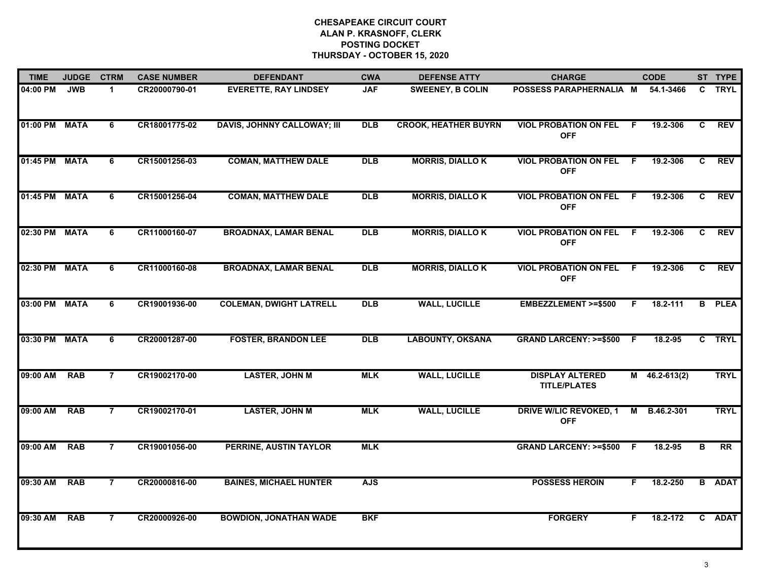| <b>TIME</b>   | <b>JUDGE</b> | <b>CTRM</b>    | <b>CASE NUMBER</b> | <b>DEFENDANT</b>                   | <b>CWA</b> | <b>DEFENSE ATTY</b>         | <b>CHARGE</b>                                 |    | <b>CODE</b>     |    | ST TYPE       |
|---------------|--------------|----------------|--------------------|------------------------------------|------------|-----------------------------|-----------------------------------------------|----|-----------------|----|---------------|
| 04:00 PM      | <b>JWB</b>   | 1              | CR20000790-01      | <b>EVERETTE, RAY LINDSEY</b>       | <b>JAF</b> | <b>SWEENEY, B COLIN</b>     | POSSESS PARAPHERNALIA M                       |    | 54.1-3466       |    | C TRYL        |
| 01:00 PM      | <b>MATA</b>  | 6              | CR18001775-02      | <b>DAVIS, JOHNNY CALLOWAY; III</b> | <b>DLB</b> | <b>CROOK, HEATHER BUYRN</b> | <b>VIOL PROBATION ON FEL</b><br><b>OFF</b>    | -F | 19.2-306        | C  | <b>REV</b>    |
| 01:45 PM      | <b>MATA</b>  | $\overline{6}$ | CR15001256-03      | <b>COMAN, MATTHEW DALE</b>         | <b>DLB</b> | <b>MORRIS, DIALLOK</b>      | <b>VIOL PROBATION ON FEL</b><br><b>OFF</b>    | F. | 19.2-306        | C  | <b>REV</b>    |
| 01:45 PM      | <b>MATA</b>  | 6              | CR15001256-04      | <b>COMAN, MATTHEW DALE</b>         | <b>DLB</b> | <b>MORRIS, DIALLOK</b>      | <b>VIOL PROBATION ON FEL</b><br><b>OFF</b>    | F. | 19.2-306        | C. | <b>REV</b>    |
| 02:30 PM      | <b>MATA</b>  | 6              | CR11000160-07      | <b>BROADNAX, LAMAR BENAL</b>       | <b>DLB</b> | <b>MORRIS, DIALLOK</b>      | <b>VIOL PROBATION ON FEL</b><br><b>OFF</b>    | F. | 19.2-306        | C. | <b>REV</b>    |
| 02:30 PM MATA |              | 6              | CR11000160-08      | <b>BROADNAX, LAMAR BENAL</b>       | <b>DLB</b> | <b>MORRIS, DIALLOK</b>      | <b>VIOL PROBATION ON FEL</b><br><b>OFF</b>    | F. | 19.2-306        | C. | <b>REV</b>    |
| 03:00 PM      | <b>MATA</b>  | 6              | CR19001936-00      | <b>COLEMAN, DWIGHT LATRELL</b>     | <b>DLB</b> | <b>WALL, LUCILLE</b>        | <b>EMBEZZLEMENT &gt;=\$500</b>                | F. | 18.2-111        |    | <b>B</b> PLEA |
| 03:30 PM      | <b>MATA</b>  | $\overline{6}$ | CR20001287-00      | <b>FOSTER, BRANDON LEE</b>         | <b>DLB</b> | <b>LABOUNTY, OKSANA</b>     | <b>GRAND LARCENY: &gt;=\$500</b>              | -F | 18.2-95         |    | C TRYL        |
| 09:00 AM      | <b>RAB</b>   | $\overline{7}$ | CR19002170-00      | <b>LASTER, JOHN M</b>              | <b>MLK</b> | <b>WALL, LUCILLE</b>        | <b>DISPLAY ALTERED</b><br><b>TITLE/PLATES</b> |    | $M$ 46.2-613(2) |    | <b>TRYL</b>   |
| 09:00 AM      | <b>RAB</b>   | $\overline{7}$ | CR19002170-01      | <b>LASTER, JOHN M</b>              | <b>MLK</b> | <b>WALL, LUCILLE</b>        | <b>DRIVE W/LIC REVOKED, 1</b><br><b>OFF</b>   | M  | B.46.2-301      |    | <b>TRYL</b>   |
| 09:00 AM      | <b>RAB</b>   | $\overline{7}$ | CR19001056-00      | <b>PERRINE, AUSTIN TAYLOR</b>      | <b>MLK</b> |                             | GRAND LARCENY: >=\$500 F                      |    | 18.2-95         | в  | RR            |
| 09:30 AM      | <b>RAB</b>   | $\overline{7}$ | CR20000816-00      | <b>BAINES, MICHAEL HUNTER</b>      | <b>AJS</b> |                             | <b>POSSESS HEROIN</b>                         | F. | 18.2-250        |    | <b>B</b> ADAT |
| 09:30 AM      | <b>RAB</b>   | $\overline{7}$ | CR20000926-00      | <b>BOWDION, JONATHAN WADE</b>      | <b>BKF</b> |                             | <b>FORGERY</b>                                | F  | 18.2-172        |    | C ADAT        |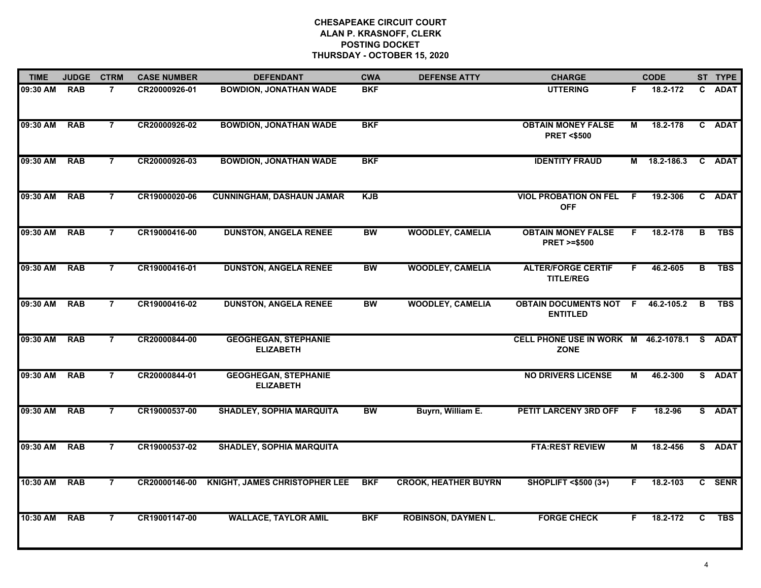| <b>TIME</b> | <b>JUDGE</b> | <b>CTRM</b>    | <b>CASE NUMBER</b> | <b>DEFENDANT</b>                                | <b>CWA</b> | <b>DEFENSE ATTY</b>         | <b>CHARGE</b>                                              |    | <b>CODE</b>  |   | ST TYPE    |
|-------------|--------------|----------------|--------------------|-------------------------------------------------|------------|-----------------------------|------------------------------------------------------------|----|--------------|---|------------|
| 09:30 AM    | <b>RAB</b>   | $\overline{7}$ | CR20000926-01      | <b>BOWDION, JONATHAN WADE</b>                   | <b>BKF</b> |                             | <b>UTTERING</b>                                            | F. | 18.2-172     |   | C ADAT     |
| 09:30 AM    | <b>RAB</b>   | $\overline{7}$ | CR20000926-02      | <b>BOWDION, JONATHAN WADE</b>                   | <b>BKF</b> |                             | <b>OBTAIN MONEY FALSE</b><br><b>PRET &lt;\$500</b>         | М  | 18.2-178     |   | C ADAT     |
| 09:30 AM    | <b>RAB</b>   | $\overline{7}$ | CR20000926-03      | <b>BOWDION, JONATHAN WADE</b>                   | <b>BKF</b> |                             | <b>IDENTITY FRAUD</b>                                      |    | M 18.2-186.3 |   | C ADAT     |
| 09:30 AM    | <b>RAB</b>   | $\overline{7}$ | CR19000020-06      | <b>CUNNINGHAM, DASHAUN JAMAR</b>                | <b>KJB</b> |                             | <b>VIOL PROBATION ON FEL</b><br><b>OFF</b>                 | -F | 19.2-306     |   | C ADAT     |
| 09:30 AM    | <b>RAB</b>   | $\overline{7}$ | CR19000416-00      | <b>DUNSTON, ANGELA RENEE</b>                    | <b>BW</b>  | <b>WOODLEY, CAMELIA</b>     | <b>OBTAIN MONEY FALSE</b><br><b>PRET &gt;=\$500</b>        | F. | 18.2-178     | в | <b>TBS</b> |
| 09:30 AM    | <b>RAB</b>   | $\overline{7}$ | CR19000416-01      | <b>DUNSTON, ANGELA RENEE</b>                    | <b>BW</b>  | <b>WOODLEY, CAMELIA</b>     | <b>ALTER/FORGE CERTIF</b><br><b>TITLE/REG</b>              | F. | 46.2-605     | В | <b>TBS</b> |
| 09:30 AM    | <b>RAB</b>   | $\overline{7}$ | CR19000416-02      | <b>DUNSTON, ANGELA RENEE</b>                    | <b>BW</b>  | <b>WOODLEY, CAMELIA</b>     | <b>OBTAIN DOCUMENTS NOT</b><br><b>ENTITLED</b>             | F  | 46.2-105.2   | B | <b>TBS</b> |
| 09:30 AM    | <b>RAB</b>   | $\overline{7}$ | CR20000844-00      | <b>GEOGHEGAN, STEPHANIE</b><br><b>ELIZABETH</b> |            |                             | CELL PHONE USE IN WORK M 46.2-1078.1 S ADAT<br><b>ZONE</b> |    |              |   |            |
| 09:30 AM    | <b>RAB</b>   | $\overline{7}$ | CR20000844-01      | <b>GEOGHEGAN, STEPHANIE</b><br><b>ELIZABETH</b> |            |                             | <b>NO DRIVERS LICENSE</b>                                  | М  | 46.2-300     |   | S ADAT     |
| 09:30 AM    | <b>RAB</b>   | $\overline{7}$ | CR19000537-00      | <b>SHADLEY, SOPHIA MARQUITA</b>                 | <b>BW</b>  | Buyrn, William E.           | PETIT LARCENY 3RD OFF                                      | -F | 18.2-96      |   | S ADAT     |
| 09:30 AM    | <b>RAB</b>   | $\overline{7}$ | CR19000537-02      | <b>SHADLEY, SOPHIA MARQUITA</b>                 |            |                             | <b>FTA:REST REVIEW</b>                                     | М  | 18.2-456     |   | S ADAT     |
| 10:30 AM    | <b>RAB</b>   | $\overline{7}$ | CR20000146-00      | <b>KNIGHT, JAMES CHRISTOPHER LEE</b>            | <b>BKF</b> | <b>CROOK, HEATHER BUYRN</b> | <b>SHOPLIFT &lt;\$500 (3+)</b>                             | F. | 18.2-103     |   | C SENR     |
| 10:30 AM    | <b>RAB</b>   | 7              | CR19001147-00      | <b>WALLACE, TAYLOR AMIL</b>                     | <b>BKF</b> | <b>ROBINSON, DAYMEN L.</b>  | <b>FORGE CHECK</b>                                         | F. | 18.2-172     | C | <b>TBS</b> |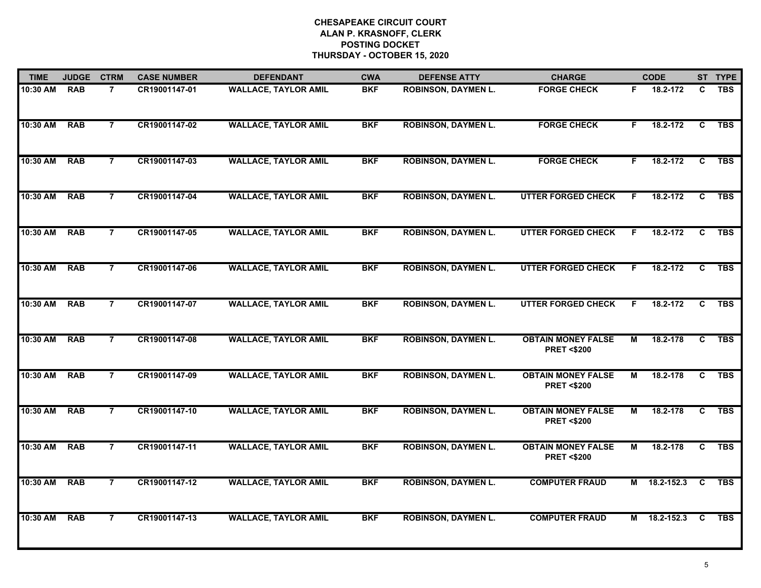| <b>TIME</b>  | <b>JUDGE</b> | <b>CTRM</b>    | <b>CASE NUMBER</b> | <b>DEFENDANT</b>            | <b>CWA</b> | <b>DEFENSE ATTY</b>        | <b>CHARGE</b>                                      |                         | <b>CODE</b>  |                | ST TYPE    |
|--------------|--------------|----------------|--------------------|-----------------------------|------------|----------------------------|----------------------------------------------------|-------------------------|--------------|----------------|------------|
| 10:30 AM     | <b>RAB</b>   | $\overline{7}$ | CR19001147-01      | <b>WALLACE, TAYLOR AMIL</b> | <b>BKF</b> | <b>ROBINSON, DAYMEN L.</b> | <b>FORGE CHECK</b>                                 | F.                      | 18.2-172     | C              | <b>TBS</b> |
| 10:30 AM     | <b>RAB</b>   | $\overline{7}$ | CR19001147-02      | <b>WALLACE, TAYLOR AMIL</b> | <b>BKF</b> | <b>ROBINSON, DAYMEN L.</b> | <b>FORGE CHECK</b>                                 | F.                      | 18.2-172     | $\overline{c}$ | <b>TBS</b> |
| 10:30 AM     | <b>RAB</b>   | $\overline{7}$ | CR19001147-03      | <b>WALLACE, TAYLOR AMIL</b> | <b>BKF</b> | <b>ROBINSON, DAYMEN L.</b> | <b>FORGE CHECK</b>                                 | F                       | 18.2-172     | $\overline{c}$ | <b>TBS</b> |
| 10:30 AM     | <b>RAB</b>   | $\overline{7}$ | CR19001147-04      | <b>WALLACE, TAYLOR AMIL</b> | <b>BKF</b> | <b>ROBINSON, DAYMEN L.</b> | <b>UTTER FORGED CHECK</b>                          | F.                      | 18.2-172     | C.             | <b>TBS</b> |
| 10:30 AM     | <b>RAB</b>   | $\overline{7}$ | CR19001147-05      | <b>WALLACE, TAYLOR AMIL</b> | <b>BKF</b> | <b>ROBINSON, DAYMEN L.</b> | <b>UTTER FORGED CHECK</b>                          | F.                      | 18.2-172     | C              | <b>TBS</b> |
| 10:30 AM RAB |              | $\overline{7}$ | CR19001147-06      | <b>WALLACE, TAYLOR AMIL</b> | <b>BKF</b> | <b>ROBINSON, DAYMEN L.</b> | <b>UTTER FORGED CHECK</b>                          | F.                      | 18.2-172     | C.             | <b>TBS</b> |
| 10:30 AM     | <b>RAB</b>   | $\overline{7}$ | CR19001147-07      | <b>WALLACE, TAYLOR AMIL</b> | <b>BKF</b> | <b>ROBINSON, DAYMEN L.</b> | <b>UTTER FORGED CHECK</b>                          | F.                      | 18.2-172     | C              | <b>TBS</b> |
| 10:30 AM     | <b>RAB</b>   | $\overline{7}$ | CR19001147-08      | <b>WALLACE, TAYLOR AMIL</b> | <b>BKF</b> | <b>ROBINSON, DAYMEN L.</b> | <b>OBTAIN MONEY FALSE</b><br><b>PRET &lt;\$200</b> | $\overline{\mathsf{M}}$ | 18.2-178     | $\overline{c}$ | <b>TBS</b> |
| 10:30 AM     | <b>RAB</b>   | $\overline{7}$ | CR19001147-09      | <b>WALLACE, TAYLOR AMIL</b> | <b>BKF</b> | <b>ROBINSON, DAYMEN L.</b> | <b>OBTAIN MONEY FALSE</b><br><b>PRET &lt;\$200</b> | М                       | 18.2-178     | C              | <b>TBS</b> |
| 10:30 AM     | <b>RAB</b>   | $\overline{7}$ | CR19001147-10      | <b>WALLACE, TAYLOR AMIL</b> | <b>BKF</b> | <b>ROBINSON, DAYMEN L.</b> | <b>OBTAIN MONEY FALSE</b><br><b>PRET &lt;\$200</b> | М                       | 18.2-178     | C              | <b>TBS</b> |
| 10:30 AM     | <b>RAB</b>   | $\overline{7}$ | CR19001147-11      | <b>WALLACE, TAYLOR AMIL</b> | <b>BKF</b> | <b>ROBINSON, DAYMEN L.</b> | <b>OBTAIN MONEY FALSE</b><br><b>PRET &lt;\$200</b> | М                       | 18.2-178     | C              | <b>TBS</b> |
| 10:30 AM     | <b>RAB</b>   | $\overline{7}$ | CR19001147-12      | <b>WALLACE, TAYLOR AMIL</b> | <b>BKF</b> | <b>ROBINSON, DAYMEN L.</b> | <b>COMPUTER FRAUD</b>                              | М                       | 18.2-152.3   | C              | <b>TBS</b> |
| 10:30 AM     | <b>RAB</b>   | $\overline{7}$ | CR19001147-13      | <b>WALLACE, TAYLOR AMIL</b> | <b>BKF</b> | <b>ROBINSON, DAYMEN L.</b> | <b>COMPUTER FRAUD</b>                              |                         | M 18.2-152.3 | C              | <b>TBS</b> |